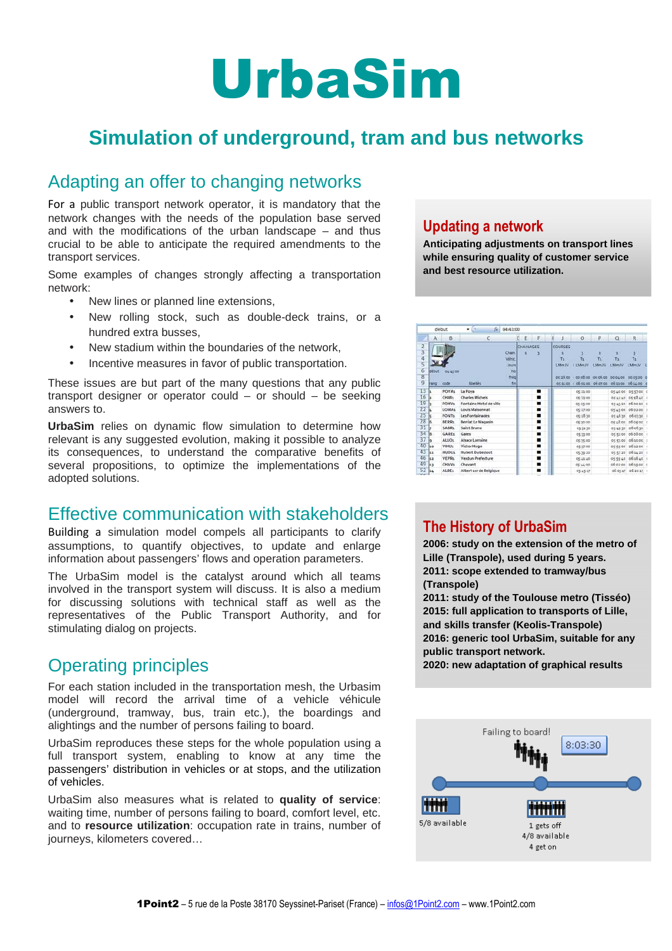# UrbaSim

# **Simulation of underground, tram and bus networks**

### Adapting an offer to changing networks

For a public transport network operator, it is mandatory that the network changes with the needs of the population base served and with the modifications of the urban landscape – and thus crucial to be able to anticipate the required amendments to the transport services.

Some examples of changes strongly affecting a transportation network:

- New lines or planned line extensions,
- New rolling stock, such as double-deck trains, or a hundred extra busses,
- New stadium within the boundaries of the network,
- Incentive measures in favor of public transportation.

These issues are but part of the many questions that any public transport designer or operator could – or should – be seeking answers to.

**UrbaSim** relies on dynamic flow simulation to determine how relevant is any suggested evolution, making it possible to analyze its consequences, to understand the comparative benefits of several propositions, to optimize the implementations of the adopted solutions.

### Effective communication with stakeholders

Building a simulation model compels all participants to clarify assumptions, to quantify objectives, to update and enlarge information about passengers' flows and operation parameters.

The UrbaSim model is the catalyst around which all teams involved in the transport system will discuss. It is also a medium for discussing solutions with technical staff as well as the representatives of the Public Transport Authority, and for stimulating dialog on projects.

# Operating principles

For each station included in the transportation mesh, the Urbasim model will record the arrival time of a vehicle véhicule (underground, tramway, bus, train etc.), the boardings and alightings and the number of persons failing to board.

UrbaSim reproduces these steps for the whole population using a full transport system, enabling to know at any time the passengers' distribution in vehicles or at stops, and the utilization of vehicles.

UrbaSim also measures what is related to **quality of service**: waiting time, number of persons failing to board, comfort level, etc. and to **resource utilization**: occupation rate in trains, number of journeys, kilometers covered…

#### **Updating a network**

**Anticipating adjustments on transport lines while ensuring quality of customer service and best resource utilization.** 

|                |       | début             | $\overline{\phantom{a}}$<br>$J_{\rm H}$ | 04:43:00     |           |   |              |                                         |                |                                     |                     |  |
|----------------|-------|-------------------|-----------------------------------------|--------------|-----------|---|--------------|-----------------------------------------|----------------|-------------------------------------|---------------------|--|
|                | A.    | B.                | c                                       |              | E         | F |              | $\circ$                                 | P.             | $\Omega$                            | R                   |  |
| $\overline{2}$ |       |                   |                                         |              | CHAINAGES |   | COURSES      |                                         |                |                                     |                     |  |
| 3              |       |                   |                                         | Chain        |           |   |              |                                         | 11             | $\mathbf{r}$                        | ы                   |  |
| ä              |       |                   |                                         | Véhíc        |           |   | Ts.          | TE.                                     | T <sub>2</sub> | $ \tau_1 $                          | TE.                 |  |
| ś              |       |                   |                                         | <b>Jours</b> |           |   | <b>LMmJV</b> | <b>LMmJV</b>                            | <b>LMmJV</b>   | LMmJV.                              | <b>LMmJV</b>        |  |
| $\overline{6}$ | debut | 04/41/00          |                                         | <b>Nb</b>    |           |   |              |                                         |                |                                     |                     |  |
| $\overline{8}$ |       |                   |                                         | fréqi        |           |   | 0035.00      | . 50.00.00 00.05.00 00.04.00 00.05.00 0 |                |                                     |                     |  |
| ğ              | rang  | code              | libelles <sup>®</sup>                   | fin          |           |   | 051100       |                                         |                | 06.01.00 06.07.00 06.11.00 06.16.00 |                     |  |
| 13             | l۹    | POYA1             | La Pova                                 |              |           | ۰ |              | 05:21:00                                |                |                                     | 05:40:00 05:57:00 0 |  |
| 16             |       | <b>CHMIs</b>      | <b>Charles Michels</b>                  |              |           | ▪ |              | 06.21.00                                |                |                                     | 05'41'40 05:58:40   |  |
| 19             |       | FOHV:             | Fontaine Hotel de ville                 |              |           | ▪ |              | 05:25:00                                |                |                                     | 054320 060020 0     |  |
| 22             |       | LOMA:             | Louis Maisonnat                         |              |           | ■ |              | 05:27:00                                |                |                                     | 05:45:00 06:02:00 ( |  |
| 25             |       | <b>FONTs</b>      | Les Fontainades                         |              |           |   |              | 05:28:30                                |                |                                     | 05:46:30 06:03:30 ( |  |
| 28             | ls    | <b>BERR1</b>      | <b>Berriat Le Magasin</b>               |              |           | ٠ |              | 05:30:00                                |                |                                     | 05:48:00 06:05:00 1 |  |
| 31             |       | SABR1             | Saint Bruno                             |              |           | ٠ |              | 053130                                  |                |                                     | 05:49:30 06:06:30   |  |
| 34             | ls    | <b>GARES</b>      | Gares                                   |              |           | ٠ |              | 05:33:00                                |                |                                     | 05:51:00 05:08:00   |  |
| 37             | lə    | ALLO <sub>1</sub> | Alsace Lorraine                         |              |           | ▪ |              | 0535.00                                 |                |                                     | 05 53.00 06 10:00 0 |  |
| 40             | 10    | VIHU <sub>1</sub> | Victor Hugo                             |              |           | ▪ |              | 06/37/00                                |                | 00.22.30                            | 063200              |  |
| 43             | lss.  | HUDU1             | Hubert Dubedout                         |              |           | ۰ |              | 053920                                  |                | 05:57:20                            | 06:14:20            |  |
| 46             | lsa   | VEPR1             | Verdun Prefecture                       |              |           | ▪ |              | 05:41:40                                |                |                                     | 05:59:40 06:16:40 1 |  |
| 49             | 13    | <b>CHAV1</b>      | Chavant                                 |              |           | ■ |              | 05:44:00                                |                | 05:02:00                            | 05:19:00: 0         |  |
| 52             | l±á   | <b>ALBE1</b>      | Albert zer de Belgique                  |              |           | ٠ |              | 06:45:17                                |                | 06:03:17                            | 05:10:17            |  |
| نعاجنا         |       |                   |                                         |              |           |   |              |                                         |                |                                     |                     |  |

### **The History of UrbaSim**

**2006: study on the extension of the metro of Lille (Transpole), used during 5 years. 2011: scope extended to tramway/bus (Transpole) 2011: study of the Toulouse metro (Tisséo) 2015: full application to transports of Lille, and skills transfer (Keolis-Transpole) 2016: generic tool UrbaSim, suitable for any public transport network.** 

**2020: new adaptation of graphical results**